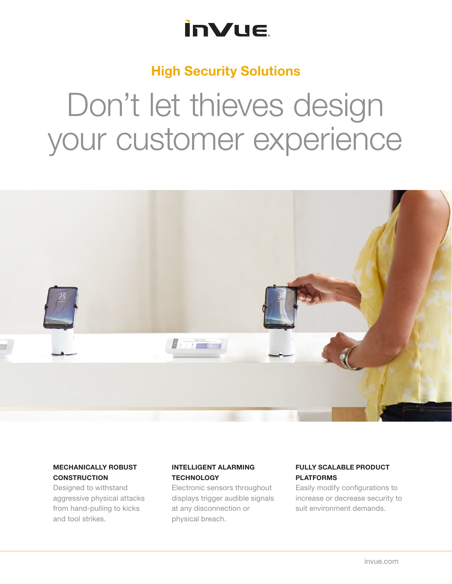## **InVue**

### High Security Solutions

# Don't let thieves design your customer experience



#### MECHANICALLY ROBUST **CONSTRUCTION**

Designed to withstand aggressive physical attacks from hand-pulling to kicks and tool strikes.

### INTELLIGENT ALARMING **TECHNOLOGY**

Electronic sensors throughout displays trigger audible signals at any disconnection or physical breach.

#### FULLY SCALABLE PRODUCT PLATFORMS

Easily modify configurations to increase or decrease security to suit environment demands.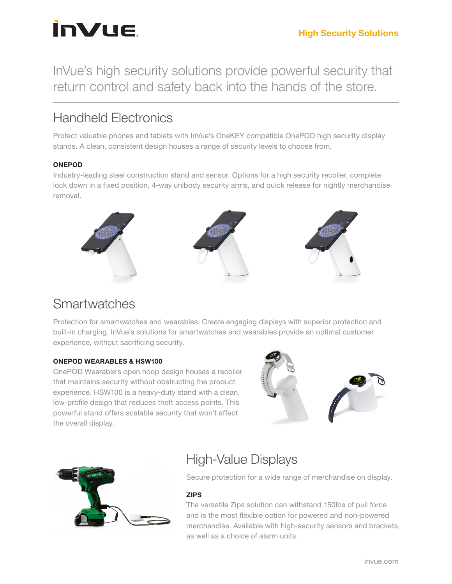## **InVue**

InVue's high security solutions provide powerful security that return control and safety back into the hands of the store.

## Handheld Electronics

Protect valuable phones and tablets with InVue's OneKEY compatible OnePOD high security display stands. A clean, consistent design houses a range of security levels to choose from.

#### ONEPOD

Industry-leading steel construction stand and sensor. Options for a high security recoiler, complete lock down in a fixed position, 4-way unibody security arms, and quick release for nightly merchandise removal.



## **Smartwatches**

Protection for smartwatches and wearables. Create engaging displays with superior protection and built-in charging. InVue's solutions for smartwatches and wearables provide an optimal customer experience, without sacrificing security.

#### ONEPOD WEARABLES & HSW100

OnePOD Wearable's open hoop design houses a recoiler that maintains security without obstructing the product experience. HSW100 is a heavy-duty stand with a clean, low-profile design that reduces theft access points. This powerful stand offers scalable security that won't affect the overall display.





## High-Value Displays

Secure protection for a wide range of merchandise on display.

#### ZIPS

The versatile Zips solution can withstand 150lbs of pull force and is the most flexible option for powered and non-powered merchandise. Available with high-security sensors and brackets, as well as a choice of alarm units.